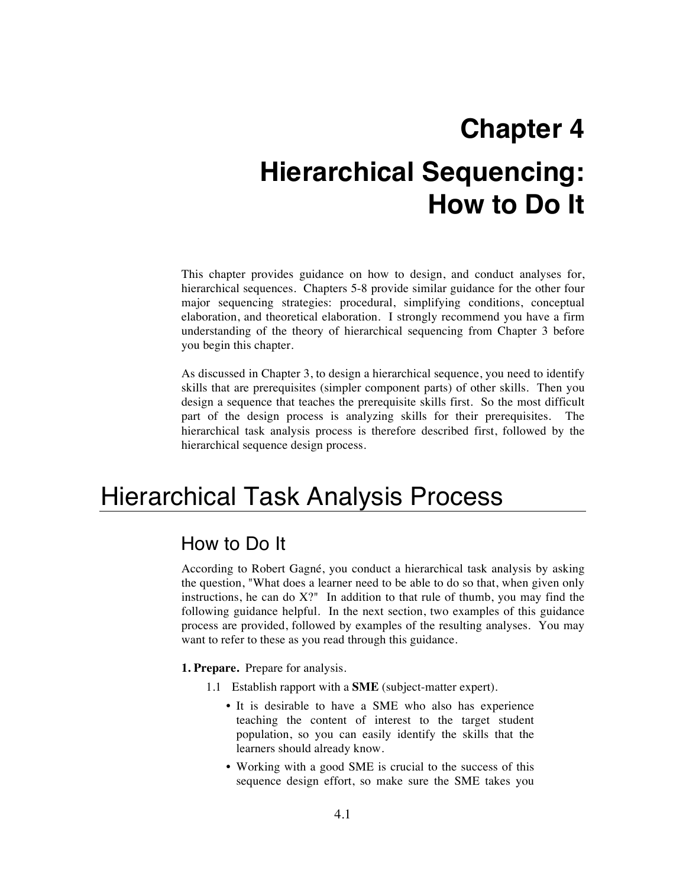# **Chapter 4 Hierarchical Sequencing: How to Do It**

This chapter provides guidance on how to design, and conduct analyses for, hierarchical sequences. Chapters 5-8 provide similar guidance for the other four major sequencing strategies: procedural, simplifying conditions, conceptual elaboration, and theoretical elaboration. I strongly recommend you have a firm understanding of the theory of hierarchical sequencing from Chapter 3 before you begin this chapter.

As discussed in Chapter 3, to design a hierarchical sequence, you need to identify skills that are prerequisites (simpler component parts) of other skills. Then you design a sequence that teaches the prerequisite skills first. So the most difficult part of the design process is analyzing skills for their prerequisites. The hierarchical task analysis process is therefore described first, followed by the hierarchical sequence design process.

# Hierarchical Task Analysis Process

### How to Do It

According to Robert Gagné, you conduct a hierarchical task analysis by asking the question, "What does a learner need to be able to do so that, when given only instructions, he can do  $X$ ?" In addition to that rule of thumb, you may find the following guidance helpful. In the next section, two examples of this guidance process are provided, followed by examples of the resulting analyses. You may want to refer to these as you read through this guidance.

**1. Prepare.** Prepare for analysis.

- 1.1 Establish rapport with a **SME** (subject-matter expert).
	- It is desirable to have a SME who also has experience teaching the content of interest to the target student population, so you can easily identify the skills that the learners should already know.
	- Working with a good SME is crucial to the success of this sequence design effort, so make sure the SME takes you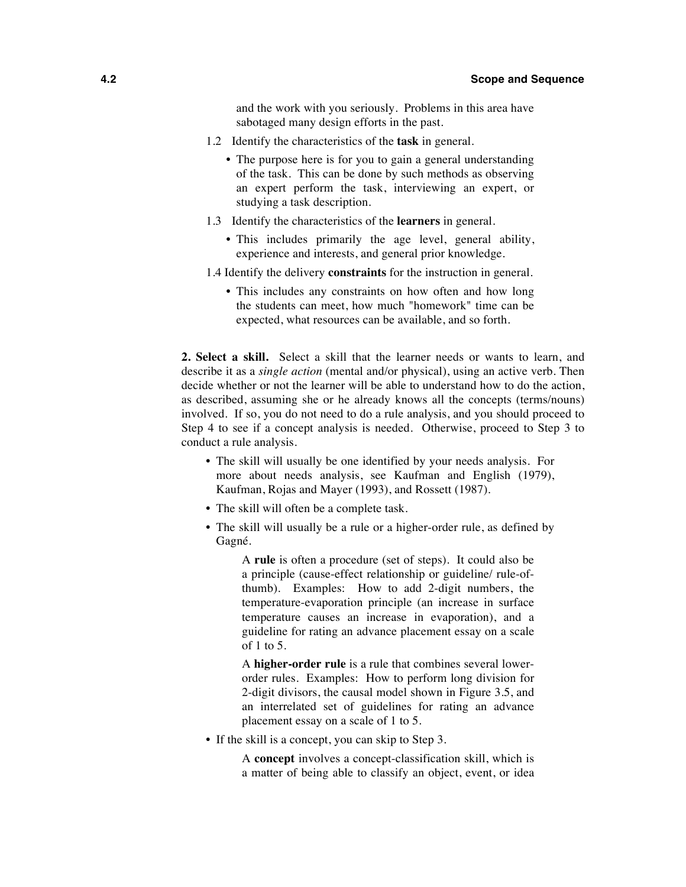and the work with you seriously. Problems in this area have sabotaged many design efforts in the past.

- 1.2 Identify the characteristics of the **task** in general.
	- The purpose here is for you to gain a general understanding of the task. This can be done by such methods as observing an expert perform the task, interviewing an expert, or studying a task description.
- 1.3 Identify the characteristics of the **learners** in general.
	- This includes primarily the age level, general ability, experience and interests, and general prior knowledge.
- 1.4 Identify the delivery **constraints** for the instruction in general.
	- This includes any constraints on how often and how long the students can meet, how much "homework" time can be expected, what resources can be available, and so forth.

**2. Select a skill.** Select a skill that the learner needs or wants to learn, and describe it as a *single action* (mental and/or physical), using an active verb. Then decide whether or not the learner will be able to understand how to do the action, as described, assuming she or he already knows all the concepts (terms/nouns) involved. If so, you do not need to do a rule analysis, and you should proceed to Step 4 to see if a concept analysis is needed. Otherwise, proceed to Step 3 to conduct a rule analysis.

- The skill will usually be one identified by your needs analysis. For more about needs analysis, see Kaufman and English (1979), Kaufman, Rojas and Mayer (1993), and Rossett (1987).
- The skill will often be a complete task.
- The skill will usually be a rule or a higher-order rule, as defined by Gagné.

A **rule** is often a procedure (set of steps). It could also be a principle (cause-effect relationship or guideline/ rule-ofthumb). Examples: How to add 2-digit numbers, the temperature-evaporation principle (an increase in surface temperature causes an increase in evaporation), and a guideline for rating an advance placement essay on a scale of 1 to 5.

A **higher-order rule** is a rule that combines several lowerorder rules. Examples: How to perform long division for 2-digit divisors, the causal model shown in Figure 3.5, and an interrelated set of guidelines for rating an advance placement essay on a scale of 1 to 5.

• If the skill is a concept, you can skip to Step 3.

A **concept** involves a concept-classification skill, which is a matter of being able to classify an object, event, or idea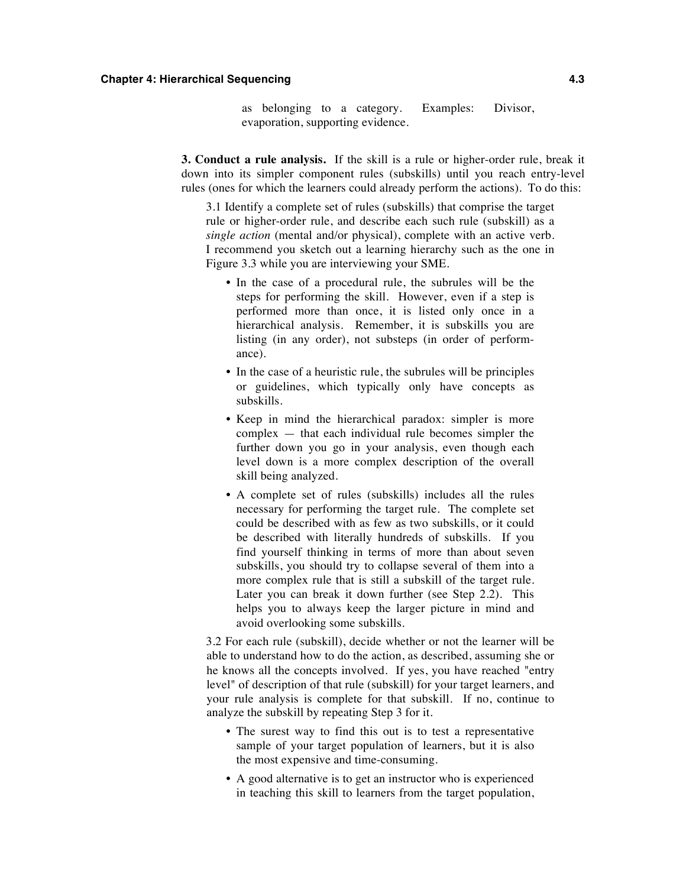#### **Chapter 4: Hierarchical Sequencing 4.3**

as belonging to a category. Examples: Divisor, evaporation, supporting evidence.

**3. Conduct a rule analysis.** If the skill is a rule or higher-order rule, break it down into its simpler component rules (subskills) until you reach entry-level rules (ones for which the learners could already perform the actions). To do this:

3.1 Identify a complete set of rules (subskills) that comprise the target rule or higher-order rule, and describe each such rule (subskill) as a *single action* (mental and/or physical), complete with an active verb. I recommend you sketch out a learning hierarchy such as the one in Figure 3.3 while you are interviewing your SME.

- In the case of a procedural rule, the subrules will be the steps for performing the skill. However, even if a step is performed more than once, it is listed only once in a hierarchical analysis. Remember, it is subskills you are listing (in any order), not substeps (in order of performance).
- In the case of a heuristic rule, the subrules will be principles or guidelines, which typically only have concepts as subskills.
- Keep in mind the hierarchical paradox: simpler is more complex — that each individual rule becomes simpler the further down you go in your analysis, even though each level down is a more complex description of the overall skill being analyzed.
- A complete set of rules (subskills) includes all the rules necessary for performing the target rule. The complete set could be described with as few as two subskills, or it could be described with literally hundreds of subskills. If you find yourself thinking in terms of more than about seven subskills, you should try to collapse several of them into a more complex rule that is still a subskill of the target rule. Later you can break it down further (see Step 2.2). This helps you to always keep the larger picture in mind and avoid overlooking some subskills.

3.2 For each rule (subskill), decide whether or not the learner will be able to understand how to do the action, as described, assuming she or he knows all the concepts involved. If yes, you have reached "entry level" of description of that rule (subskill) for your target learners, and your rule analysis is complete for that subskill. If no, continue to analyze the subskill by repeating Step 3 for it.

- The surest way to find this out is to test a representative sample of your target population of learners, but it is also the most expensive and time-consuming.
- A good alternative is to get an instructor who is experienced in teaching this skill to learners from the target population,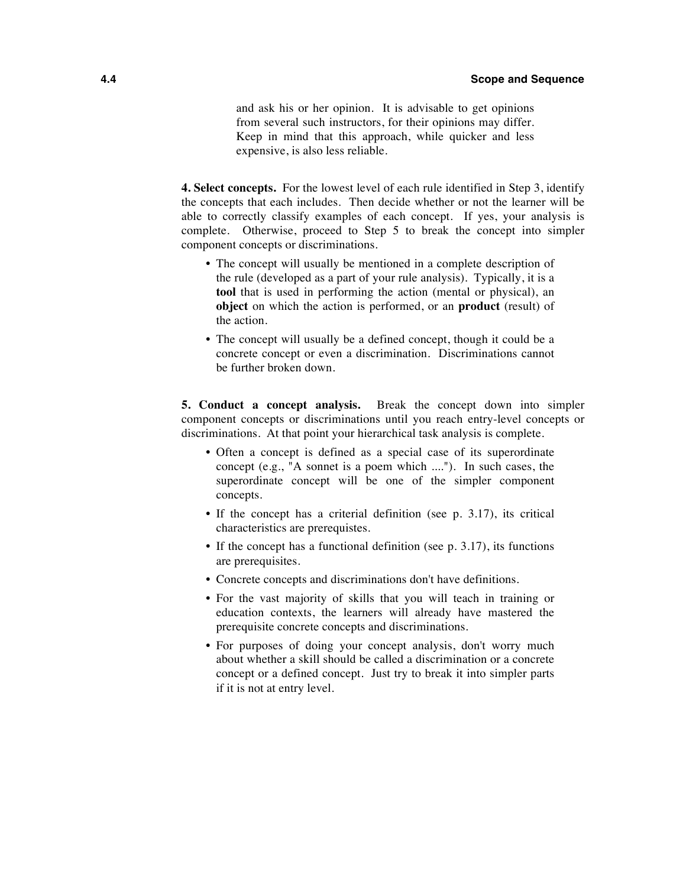and ask his or her opinion. It is advisable to get opinions from several such instructors, for their opinions may differ. Keep in mind that this approach, while quicker and less expensive, is also less reliable.

**4. Select concepts.** For the lowest level of each rule identified in Step 3, identify the concepts that each includes. Then decide whether or not the learner will be able to correctly classify examples of each concept. If yes, your analysis is complete. Otherwise, proceed to Step 5 to break the concept into simpler component concepts or discriminations.

- The concept will usually be mentioned in a complete description of the rule (developed as a part of your rule analysis). Typically, it is a **tool** that is used in performing the action (mental or physical), an **object** on which the action is performed, or an **product** (result) of the action.
- The concept will usually be a defined concept, though it could be a concrete concept or even a discrimination. Discriminations cannot be further broken down.

**5. Conduct a concept analysis.** Break the concept down into simpler component concepts or discriminations until you reach entry-level concepts or discriminations. At that point your hierarchical task analysis is complete.

- Often a concept is defined as a special case of its superordinate concept (e.g., "A sonnet is a poem which ...."). In such cases, the superordinate concept will be one of the simpler component concepts.
- If the concept has a criterial definition (see p. 3.17), its critical characteristics are prerequistes.
- If the concept has a functional definition (see p. 3.17), its functions are prerequisites.
- Concrete concepts and discriminations don't have definitions.
- For the vast majority of skills that you will teach in training or education contexts, the learners will already have mastered the prerequisite concrete concepts and discriminations.
- For purposes of doing your concept analysis, don't worry much about whether a skill should be called a discrimination or a concrete concept or a defined concept. Just try to break it into simpler parts if it is not at entry level.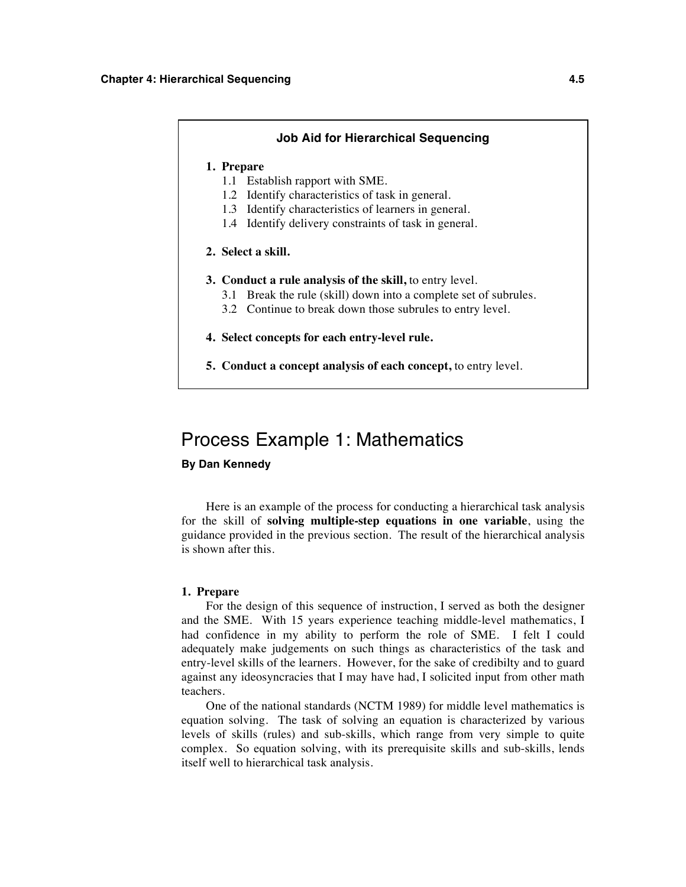### **Job Aid for Hierarchical Sequencing 1. Prepare** 1.1 Establish rapport with SME. 1.2 Identify characteristics of task in general. 1.3 Identify characteristics of learners in general. 1.4 Identify delivery constraints of task in general. **2. Select a skill. 3. Conduct a rule analysis of the skill,** to entry level. 3.1 Break the rule (skill) down into a complete set of subrules. 3.2 Continue to break down those subrules to entry level. **4. Select concepts for each entry-level rule.**

**5. Conduct a concept analysis of each concept,** to entry level.

### Process Example 1: Mathematics

#### **By Dan Kennedy**

Here is an example of the process for conducting a hierarchical task analysis for the skill of **solving multiple-step equations in one variable**, using the guidance provided in the previous section. The result of the hierarchical analysis is shown after this.

#### **1. Prepare**

For the design of this sequence of instruction, I served as both the designer and the SME. With 15 years experience teaching middle-level mathematics, I had confidence in my ability to perform the role of SME. I felt I could adequately make judgements on such things as characteristics of the task and entry-level skills of the learners. However, for the sake of credibilty and to guard against any ideosyncracies that I may have had, I solicited input from other math teachers.

One of the national standards (NCTM 1989) for middle level mathematics is equation solving. The task of solving an equation is characterized by various levels of skills (rules) and sub-skills, which range from very simple to quite complex. So equation solving, with its prerequisite skills and sub-skills, lends itself well to hierarchical task analysis.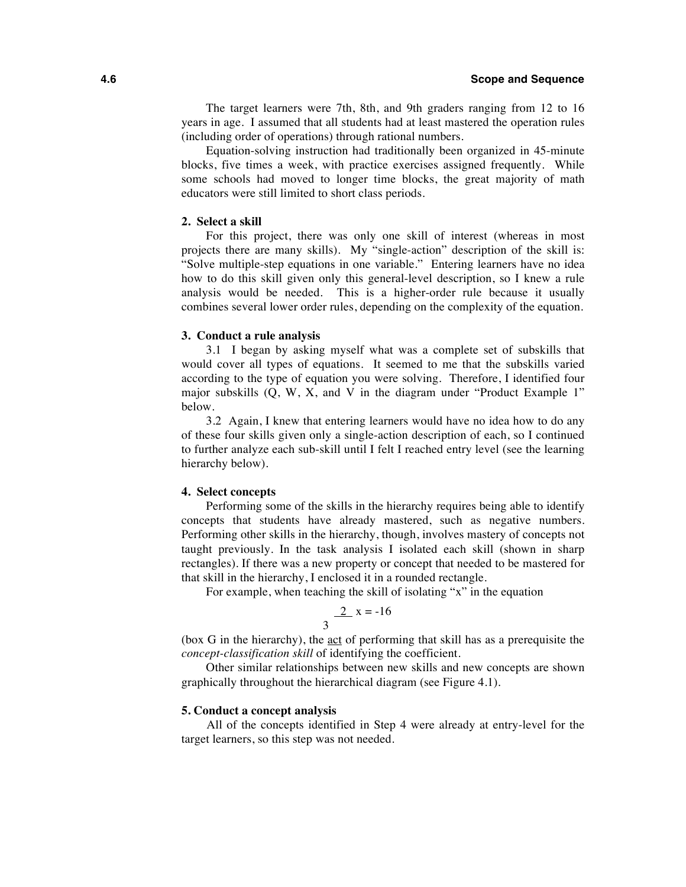#### **4.6 Scope and Sequence**

The target learners were 7th, 8th, and 9th graders ranging from 12 to 16 years in age. I assumed that all students had at least mastered the operation rules (including order of operations) through rational numbers.

Equation-solving instruction had traditionally been organized in 45-minute blocks, five times a week, with practice exercises assigned frequently. While some schools had moved to longer time blocks, the great majority of math educators were still limited to short class periods.

#### **2. Select a skill**

For this project, there was only one skill of interest (whereas in most projects there are many skills). My "single-action" description of the skill is: "Solve multiple-step equations in one variable." Entering learners have no idea how to do this skill given only this general-level description, so I knew a rule analysis would be needed. This is a higher-order rule because it usually combines several lower order rules, depending on the complexity of the equation.

#### **3. Conduct a rule analysis**

3.1 I began by asking myself what was a complete set of subskills that would cover all types of equations. It seemed to me that the subskills varied according to the type of equation you were solving. Therefore, I identified four major subskills (Q, W, X, and V in the diagram under "Product Example 1" below.

3.2 Again, I knew that entering learners would have no idea how to do any of these four skills given only a single-action description of each, so I continued to further analyze each sub-skill until I felt I reached entry level (see the learning hierarchy below).

#### **4. Select concepts**

Performing some of the skills in the hierarchy requires being able to identify concepts that students have already mastered, such as negative numbers. Performing other skills in the hierarchy, though, involves mastery of concepts not taught previously. In the task analysis I isolated each skill (shown in sharp rectangles). If there was a new property or concept that needed to be mastered for that skill in the hierarchy, I enclosed it in a rounded rectangle.

For example, when teaching the skill of isolating "x" in the equation

$$
\frac{2}{3} \times x = -16
$$

(box G in the hierarchy), the act of performing that skill has as a prerequisite the *concept-classification skill* of identifying the coefficient.

Other similar relationships between new skills and new concepts are shown graphically throughout the hierarchical diagram (see Figure 4.1).

#### **5. Conduct a concept analysis**

All of the concepts identified in Step 4 were already at entry-level for the target learners, so this step was not needed.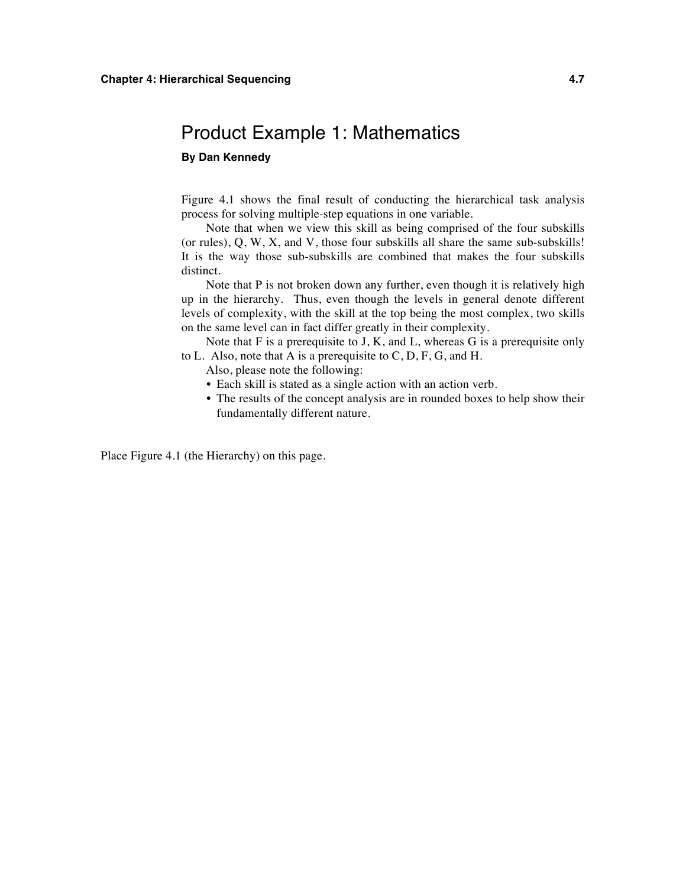### Product Example 1: Mathematics

#### **By Dan Kennedy**

Figure 4.1 shows the final result of conducting the hierarchical task analysis process for solving multiple-step equations in one variable.

Note that when we view this skill as being comprised of the four subskills (or rules), Q, W, X, and V, those four subskills all share the same sub-subskills! It is the way those sub-subskills are combined that makes the four subskills distinct.

Note that P is not broken down any further, even though it is relatively high up in the hierarchy. Thus, even though the levels in general denote different levels of complexity, with the skill at the top being the most complex, two skills on the same level can in fact differ greatly in their complexity.

Note that  $F$  is a prerequisite to J,  $K$ , and  $L$ , whereas  $G$  is a prerequisite only to L. Also, note that A is a prerequisite to  $C, D, F, G$ , and H.

Also, please note the following:

- Each skill is stated as a single action with an action verb.
- The results of the concept analysis are in rounded boxes to help show their fundamentally different nature.

Place Figure 4.1 (the Hierarchy) on this page.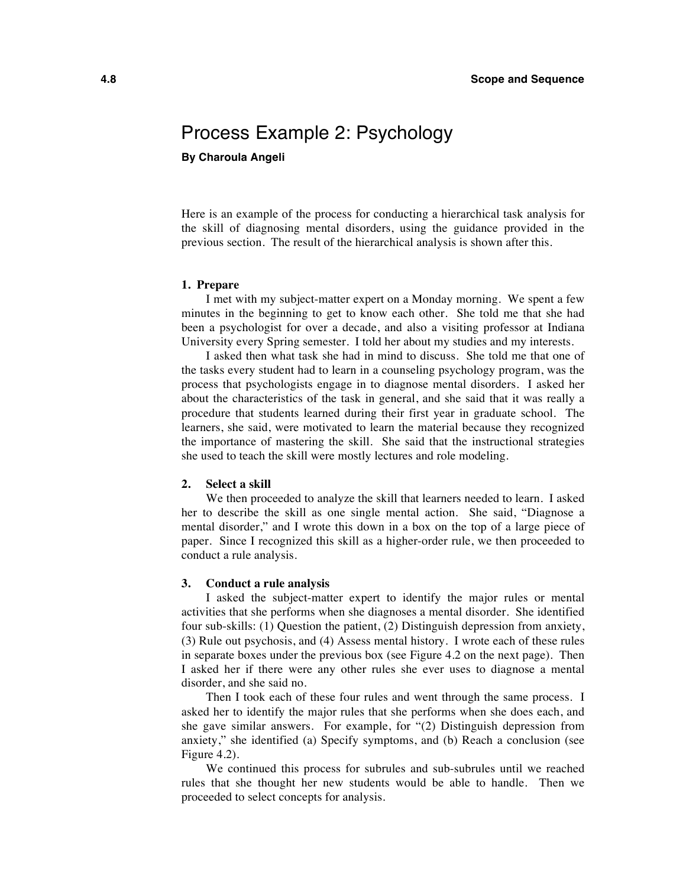## Process Example 2: Psychology

**By Charoula Angeli**

Here is an example of the process for conducting a hierarchical task analysis for the skill of diagnosing mental disorders, using the guidance provided in the previous section. The result of the hierarchical analysis is shown after this.

#### **1. Prepare**

I met with my subject-matter expert on a Monday morning. We spent a few minutes in the beginning to get to know each other. She told me that she had been a psychologist for over a decade, and also a visiting professor at Indiana University every Spring semester. I told her about my studies and my interests.

I asked then what task she had in mind to discuss. She told me that one of the tasks every student had to learn in a counseling psychology program, was the process that psychologists engage in to diagnose mental disorders. I asked her about the characteristics of the task in general, and she said that it was really a procedure that students learned during their first year in graduate school. The learners, she said, were motivated to learn the material because they recognized the importance of mastering the skill. She said that the instructional strategies she used to teach the skill were mostly lectures and role modeling.

#### **2. Select a skill**

We then proceeded to analyze the skill that learners needed to learn. I asked her to describe the skill as one single mental action. She said, "Diagnose a mental disorder," and I wrote this down in a box on the top of a large piece of paper. Since I recognized this skill as a higher-order rule, we then proceeded to conduct a rule analysis.

#### **3. Conduct a rule analysis**

I asked the subject-matter expert to identify the major rules or mental activities that she performs when she diagnoses a mental disorder. She identified four sub-skills: (1) Question the patient, (2) Distinguish depression from anxiety, (3) Rule out psychosis, and (4) Assess mental history. I wrote each of these rules in separate boxes under the previous box (see Figure 4.2 on the next page). Then I asked her if there were any other rules she ever uses to diagnose a mental disorder, and she said no.

Then I took each of these four rules and went through the same process. I asked her to identify the major rules that she performs when she does each, and she gave similar answers. For example, for "(2) Distinguish depression from anxiety," she identified (a) Specify symptoms, and (b) Reach a conclusion (see Figure 4.2).

We continued this process for subrules and sub-subrules until we reached rules that she thought her new students would be able to handle. Then we proceeded to select concepts for analysis.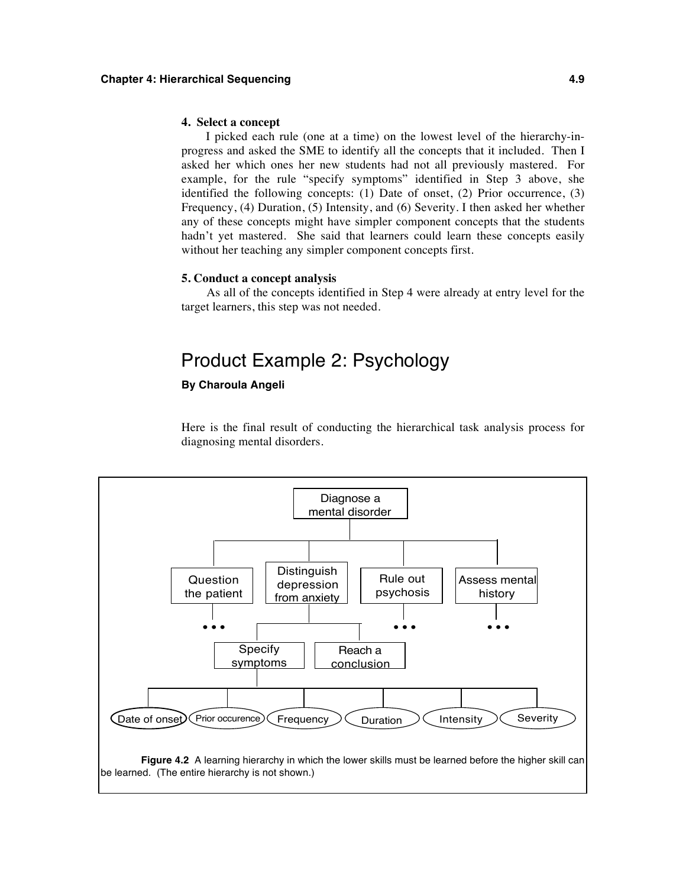#### **4. Select a concept**

I picked each rule (one at a time) on the lowest level of the hierarchy-inprogress and asked the SME to identify all the concepts that it included. Then I asked her which ones her new students had not all previously mastered. For example, for the rule "specify symptoms" identified in Step 3 above, she identified the following concepts: (1) Date of onset, (2) Prior occurrence, (3) Frequency, (4) Duration, (5) Intensity, and (6) Severity. I then asked her whether any of these concepts might have simpler component concepts that the students hadn't yet mastered. She said that learners could learn these concepts easily without her teaching any simpler component concepts first.

#### **5. Conduct a concept analysis**

As all of the concepts identified in Step 4 were already at entry level for the target learners, this step was not needed.

### Product Example 2: Psychology

#### **By Charoula Angeli**

Here is the final result of conducting the hierarchical task analysis process for diagnosing mental disorders.

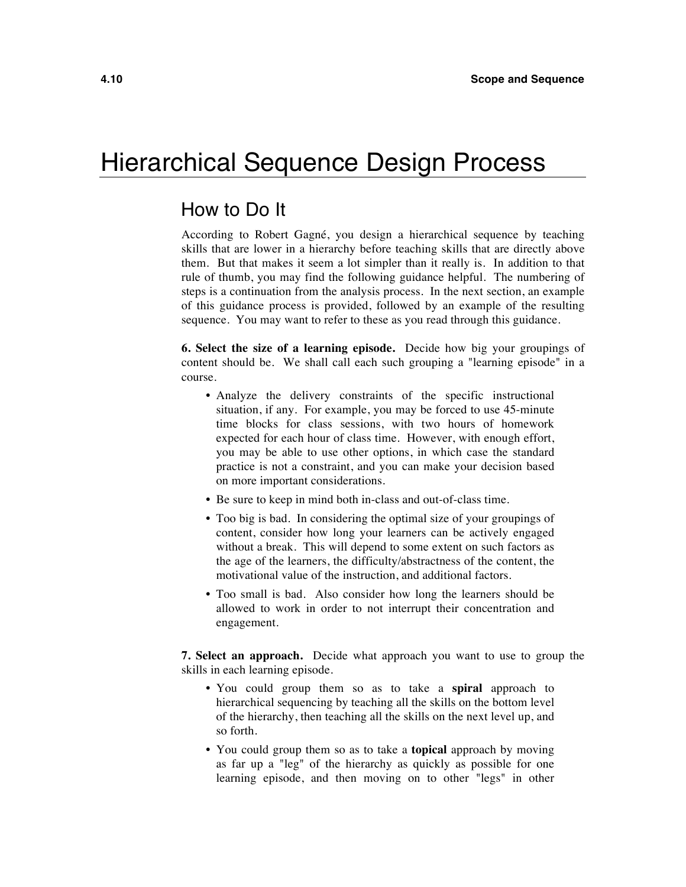# Hierarchical Sequence Design Process

### How to Do It

According to Robert Gagné, you design a hierarchical sequence by teaching skills that are lower in a hierarchy before teaching skills that are directly above them. But that makes it seem a lot simpler than it really is. In addition to that rule of thumb, you may find the following guidance helpful. The numbering of steps is a continuation from the analysis process. In the next section, an example of this guidance process is provided, followed by an example of the resulting sequence. You may want to refer to these as you read through this guidance.

**6. Select the size of a learning episode.** Decide how big your groupings of content should be. We shall call each such grouping a "learning episode" in a course.

- Analyze the delivery constraints of the specific instructional situation, if any. For example, you may be forced to use 45-minute time blocks for class sessions, with two hours of homework expected for each hour of class time. However, with enough effort, you may be able to use other options, in which case the standard practice is not a constraint, and you can make your decision based on more important considerations.
- Be sure to keep in mind both in-class and out-of-class time.
- Too big is bad. In considering the optimal size of your groupings of content, consider how long your learners can be actively engaged without a break. This will depend to some extent on such factors as the age of the learners, the difficulty/abstractness of the content, the motivational value of the instruction, and additional factors.
- Too small is bad. Also consider how long the learners should be allowed to work in order to not interrupt their concentration and engagement.

**7. Select an approach.** Decide what approach you want to use to group the skills in each learning episode.

- You could group them so as to take a **spiral** approach to hierarchical sequencing by teaching all the skills on the bottom level of the hierarchy, then teaching all the skills on the next level up, and so forth.
- You could group them so as to take a **topical** approach by moving as far up a "leg" of the hierarchy as quickly as possible for one learning episode, and then moving on to other "legs" in other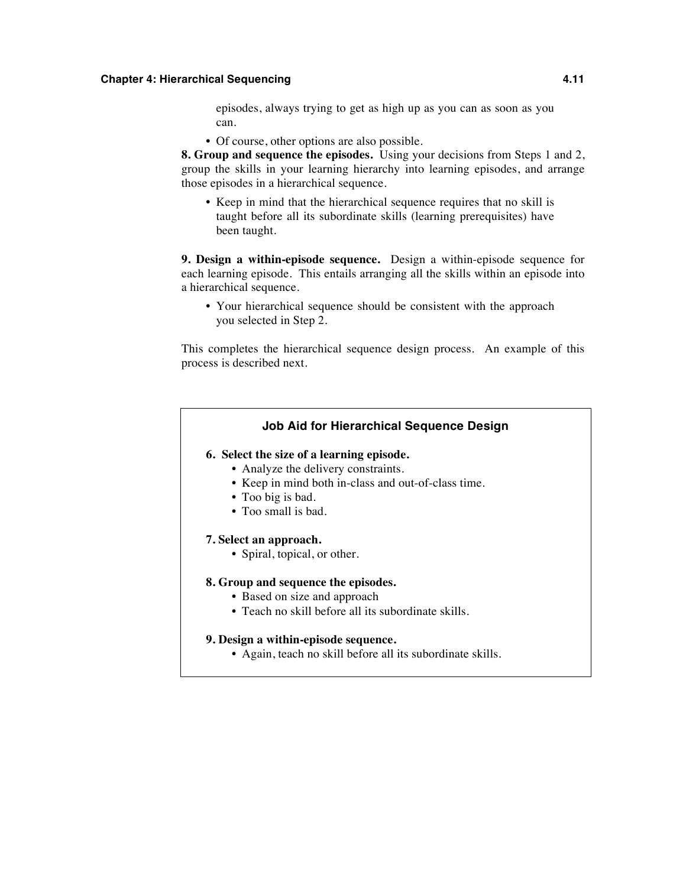#### **Chapter 4: Hierarchical Sequencing 4.11**

episodes, always trying to get as high up as you can as soon as you can.

• Of course, other options are also possible.

**8. Group and sequence the episodes.** Using your decisions from Steps 1 and 2, group the skills in your learning hierarchy into learning episodes, and arrange those episodes in a hierarchical sequence.

• Keep in mind that the hierarchical sequence requires that no skill is taught before all its subordinate skills (learning prerequisites) have been taught.

**9. Design a within-episode sequence.** Design a within-episode sequence for each learning episode. This entails arranging all the skills within an episode into a hierarchical sequence.

• Your hierarchical sequence should be consistent with the approach you selected in Step 2.

This completes the hierarchical sequence design process. An example of this process is described next.

#### **Job Aid for Hierarchical Sequence Design**

#### **6. Select the size of a learning episode.**

- Analyze the delivery constraints.
- Keep in mind both in-class and out-of-class time.
- Too big is bad.
- Too small is bad.

#### **7. Select an approach.**

• Spiral, topical, or other.

#### **8. Group and sequence the episodes.**

- Based on size and approach
- Teach no skill before all its subordinate skills.

#### **9. Design a within-episode sequence.**

• Again, teach no skill before all its subordinate skills.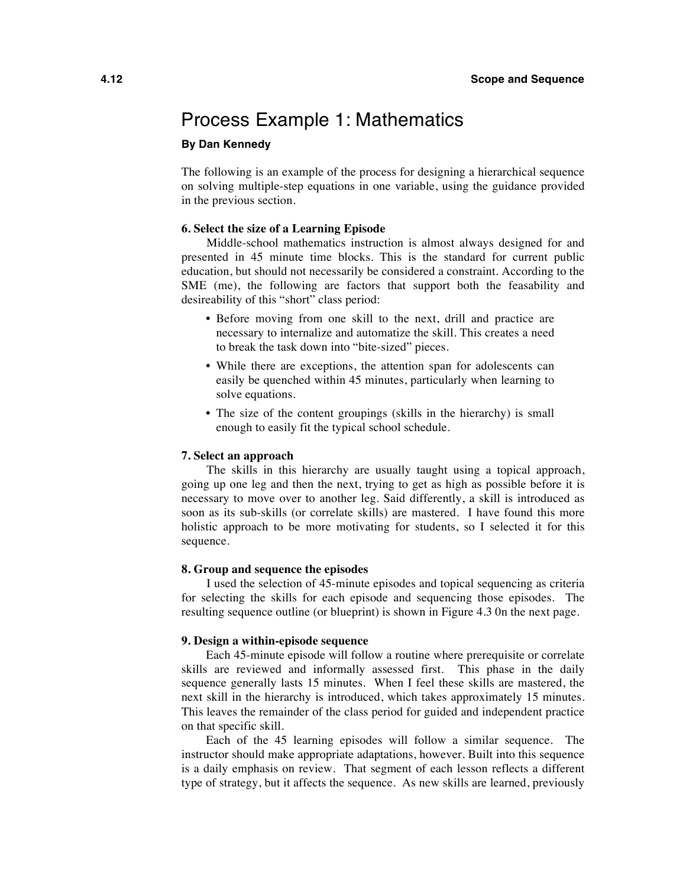### Process Example 1: Mathematics

#### **By Dan Kennedy**

The following is an example of the process for designing a hierarchical sequence on solving multiple-step equations in one variable, using the guidance provided in the previous section.

#### **6. Select the size of a Learning Episode**

Middle-school mathematics instruction is almost always designed for and presented in 45 minute time blocks. This is the standard for current public education, but should not necessarily be considered a constraint. According to the SME (me), the following are factors that support both the feasability and desireability of this "short" class period:

- Before moving from one skill to the next, drill and practice are necessary to internalize and automatize the skill. This creates a need to break the task down into "bite-sized" pieces.
- While there are exceptions, the attention span for adolescents can easily be quenched within 45 minutes, particularly when learning to solve equations.
- The size of the content groupings (skills in the hierarchy) is small enough to easily fit the typical school schedule.

#### **7. Select an approach**

The skills in this hierarchy are usually taught using a topical approach, going up one leg and then the next, trying to get as high as possible before it is necessary to move over to another leg. Said differently, a skill is introduced as soon as its sub-skills (or correlate skills) are mastered. I have found this more holistic approach to be more motivating for students, so I selected it for this sequence.

#### **8. Group and sequence the episodes**

I used the selection of 45-minute episodes and topical sequencing as criteria for selecting the skills for each episode and sequencing those episodes. The resulting sequence outline (or blueprint) is shown in Figure 4.3 0n the next page.

#### **9. Design a within-episode sequence**

Each 45-minute episode will follow a routine where prerequisite or correlate skills are reviewed and informally assessed first. This phase in the daily sequence generally lasts 15 minutes. When I feel these skills are mastered, the next skill in the hierarchy is introduced, which takes approximately 15 minutes. This leaves the remainder of the class period for guided and independent practice on that specific skill.

Each of the 45 learning episodes will follow a similar sequence. The instructor should make appropriate adaptations, however. Built into this sequence is a daily emphasis on review. That segment of each lesson reflects a different type of strategy, but it affects the sequence. As new skills are learned, previously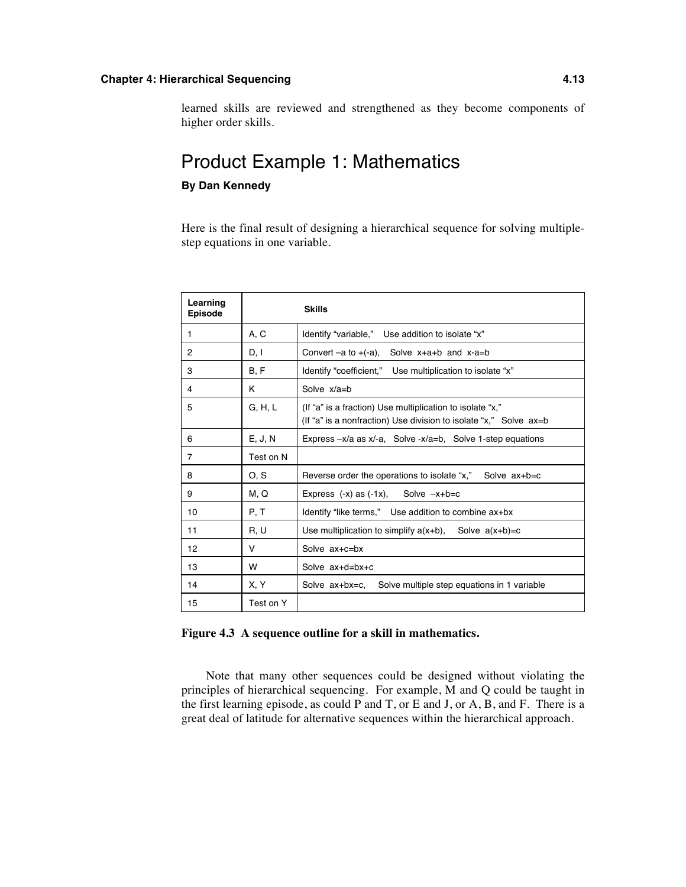#### **Chapter 4: Hierarchical Sequencing 4.13**

learned skills are reviewed and strengthened as they become components of higher order skills.

### Product Example 1: Mathematics

#### **By Dan Kennedy**

Here is the final result of designing a hierarchical sequence for solving multiplestep equations in one variable.

| Learning<br><b>Episode</b> |           | <b>Skills</b>                                                                                                                      |
|----------------------------|-----------|------------------------------------------------------------------------------------------------------------------------------------|
| 1                          | A, C      | ldentify "variable,"<br>Use addition to isolate "x"                                                                                |
| 2                          | D, I      | Convert $-a$ to $+(-a)$ ,<br>Solve $x+a+b$ and $x-a=b$                                                                             |
| 3                          | B, F      | ldentify "coefficient,"<br>Use multiplication to isolate "x"                                                                       |
| 4                          | ĸ         | Solve $x/a = b$                                                                                                                    |
| 5                          | G, H, L   | (If "a" is a fraction) Use multiplication to isolate "x,"<br>(If "a" is a nonfraction) Use division to isolate "x," Solve $ax = b$ |
| 6                          | E, J, N   | Express $-x/a$ as $x/-a$ . Solve $-x/a=b$ . Solve 1-step equations                                                                 |
| $\overline{7}$             | Test on N |                                                                                                                                    |
| 8                          | O, S      | Reverse order the operations to isolate "x,"<br>Solve $ax + b = c$                                                                 |
| 9                          | M, Q      | Express $(-x)$ as $(-1x)$ , Solve $-x+b=c$                                                                                         |
| 10                         | P, T      | Identify "like terms," Use addition to combine ax+bx                                                                               |
| 11                         | R, U      | Use multiplication to simplify $a(x+b)$ . Solve $a(x+b)=c$                                                                         |
| 12                         | V         | Solve ax+c=bx                                                                                                                      |
| 13                         | W         | Solve ax+d=bx+c                                                                                                                    |
| 14                         | X, Y      | Solve ax+bx=c.<br>Solve multiple step equations in 1 variable                                                                      |
| 15                         | Test on Y |                                                                                                                                    |

**Figure 4.3 A sequence outline for a skill in mathematics.**

Note that many other sequences could be designed without violating the principles of hierarchical sequencing. For example, M and Q could be taught in the first learning episode, as could P and T, or E and J, or A, B, and F. There is a great deal of latitude for alternative sequences within the hierarchical approach.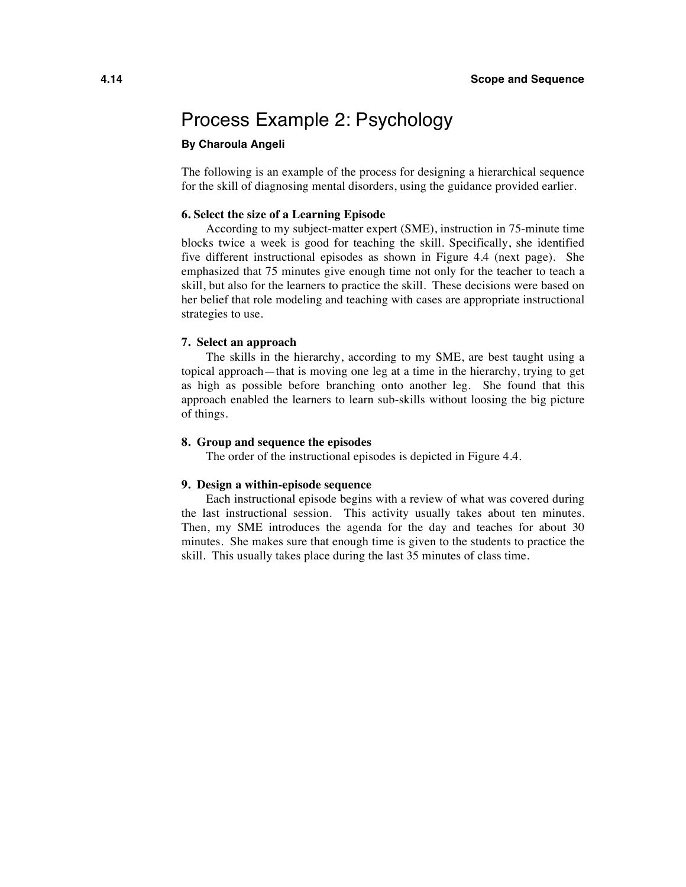### Process Example 2: Psychology

#### **By Charoula Angeli**

The following is an example of the process for designing a hierarchical sequence for the skill of diagnosing mental disorders, using the guidance provided earlier.

#### **6. Select the size of a Learning Episode**

According to my subject-matter expert (SME), instruction in 75-minute time blocks twice a week is good for teaching the skill. Specifically, she identified five different instructional episodes as shown in Figure 4.4 (next page). She emphasized that 75 minutes give enough time not only for the teacher to teach a skill, but also for the learners to practice the skill. These decisions were based on her belief that role modeling and teaching with cases are appropriate instructional strategies to use.

#### **7. Select an approach**

The skills in the hierarchy, according to my SME, are best taught using a topical approach—that is moving one leg at a time in the hierarchy, trying to get as high as possible before branching onto another leg. She found that this approach enabled the learners to learn sub-skills without loosing the big picture of things.

#### **8. Group and sequence the episodes**

The order of the instructional episodes is depicted in Figure 4.4.

#### **9. Design a within-episode sequence**

Each instructional episode begins with a review of what was covered during the last instructional session. This activity usually takes about ten minutes. Then, my SME introduces the agenda for the day and teaches for about 30 minutes. She makes sure that enough time is given to the students to practice the skill. This usually takes place during the last 35 minutes of class time.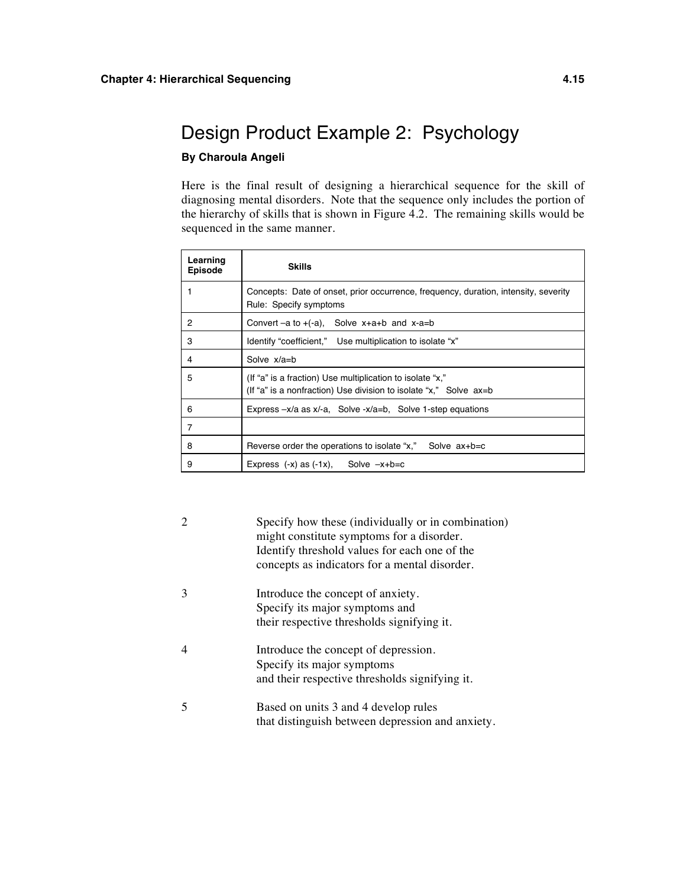# Design Product Example 2: Psychology

#### **By Charoula Angeli**

Here is the final result of designing a hierarchical sequence for the skill of diagnosing mental disorders. Note that the sequence only includes the portion of the hierarchy of skills that is shown in Figure 4.2. The remaining skills would be sequenced in the same manner.

| Learning<br>Episode | <b>Skills</b>                                                                                                                      |  |  |
|---------------------|------------------------------------------------------------------------------------------------------------------------------------|--|--|
|                     | Concepts: Date of onset, prior occurrence, frequency, duration, intensity, severity<br>Rule: Specify symptoms                      |  |  |
| 2                   | Convert $-a$ to $+(a)$ , Solve $x+a+b$ and $x-a=b$                                                                                 |  |  |
| 3                   | ldentify "coefficient," Use multiplication to isolate "x"                                                                          |  |  |
| 4                   | Solve $x/a = b$                                                                                                                    |  |  |
| 5                   | (If "a" is a fraction) Use multiplication to isolate "x,"<br>(If "a" is a nonfraction) Use division to isolate "x," Solve $ax = b$ |  |  |
| 6                   | Express $-x/a$ as $x/a$ . Solve $-x/a=b$ . Solve 1-step equations                                                                  |  |  |
| 7                   |                                                                                                                                    |  |  |
| 8                   | Reverse order the operations to isolate "x," Solve $ax+b=c$                                                                        |  |  |
| 9                   | Express $(-x)$ as $(-1x)$ , Solve $-x+b=c$                                                                                         |  |  |

| Specify how these (individually or in combination)<br>might constitute symptoms for a disorder.<br>Identify threshold values for each one of the<br>concepts as indicators for a mental disorder. |
|---------------------------------------------------------------------------------------------------------------------------------------------------------------------------------------------------|
| Introduce the concept of anxiety.<br>Specify its major symptoms and<br>their respective thresholds signifying it.                                                                                 |
| Introduce the concept of depression.<br>Specify its major symptoms<br>and their respective thresholds signifying it.                                                                              |
| Based on units 3 and 4 develop rules<br>that distinguish between depression and anxiety.                                                                                                          |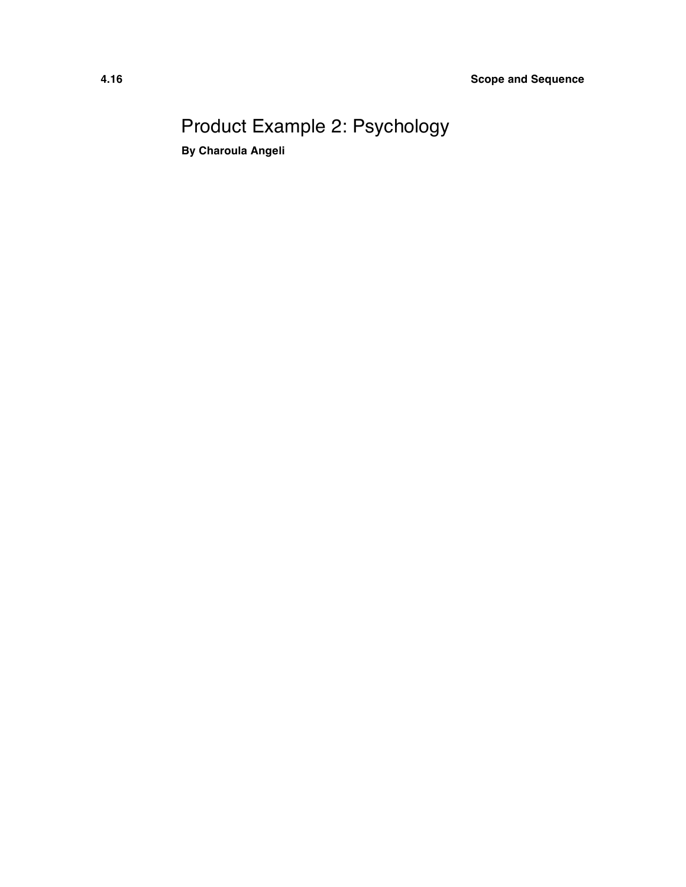# Product Example 2: Psychology

**By Charoula Angeli**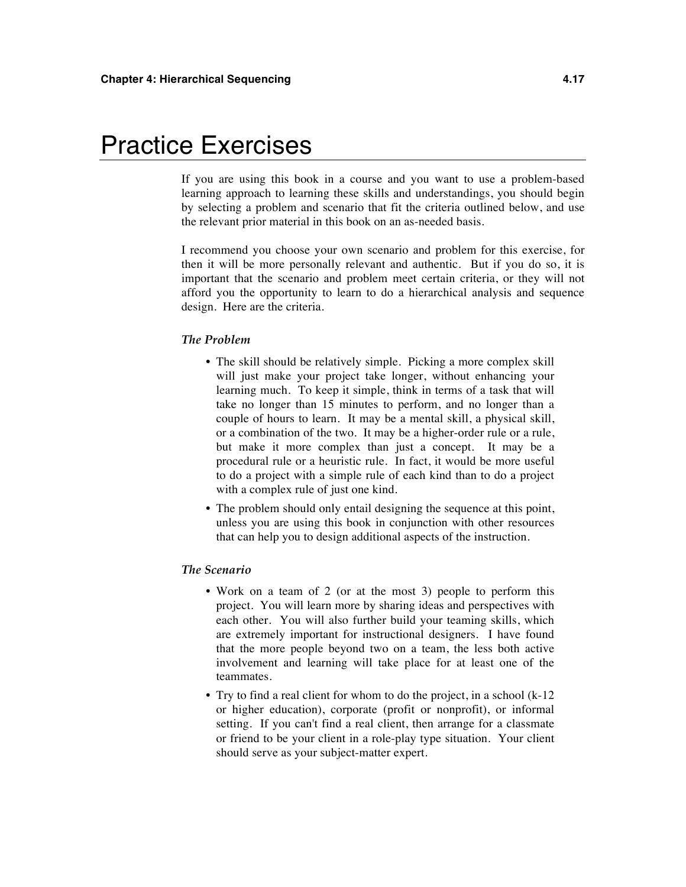# Practice Exercises

If you are using this book in a course and you want to use a problem-based learning approach to learning these skills and understandings, you should begin by selecting a problem and scenario that fit the criteria outlined below, and use the relevant prior material in this book on an as-needed basis.

I recommend you choose your own scenario and problem for this exercise, for then it will be more personally relevant and authentic. But if you do so, it is important that the scenario and problem meet certain criteria, or they will not afford you the opportunity to learn to do a hierarchical analysis and sequence design. Here are the criteria.

#### *The Problem*

- The skill should be relatively simple. Picking a more complex skill will just make your project take longer, without enhancing your learning much. To keep it simple, think in terms of a task that will take no longer than 15 minutes to perform, and no longer than a couple of hours to learn. It may be a mental skill, a physical skill, or a combination of the two. It may be a higher-order rule or a rule, but make it more complex than just a concept. It may be a procedural rule or a heuristic rule. In fact, it would be more useful to do a project with a simple rule of each kind than to do a project with a complex rule of just one kind.
- The problem should only entail designing the sequence at this point, unless you are using this book in conjunction with other resources that can help you to design additional aspects of the instruction.

#### *The Scenario*

- Work on a team of 2 (or at the most 3) people to perform this project. You will learn more by sharing ideas and perspectives with each other. You will also further build your teaming skills, which are extremely important for instructional designers. I have found that the more people beyond two on a team, the less both active involvement and learning will take place for at least one of the teammates.
- Try to find a real client for whom to do the project, in a school (k-12 or higher education), corporate (profit or nonprofit), or informal setting. If you can't find a real client, then arrange for a classmate or friend to be your client in a role-play type situation. Your client should serve as your subject-matter expert.